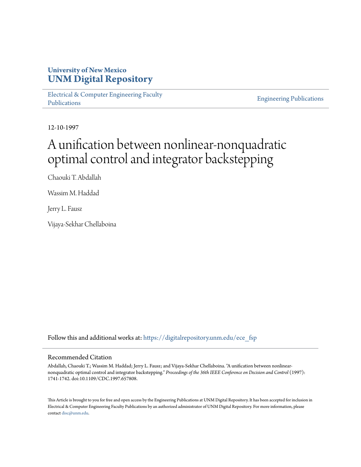## **University of New Mexico [UNM Digital Repository](https://digitalrepository.unm.edu?utm_source=digitalrepository.unm.edu%2Fece_fsp%2F221&utm_medium=PDF&utm_campaign=PDFCoverPages)**

[Electrical & Computer Engineering Faculty](https://digitalrepository.unm.edu/ece_fsp?utm_source=digitalrepository.unm.edu%2Fece_fsp%2F221&utm_medium=PDF&utm_campaign=PDFCoverPages) [Publications](https://digitalrepository.unm.edu/ece_fsp?utm_source=digitalrepository.unm.edu%2Fece_fsp%2F221&utm_medium=PDF&utm_campaign=PDFCoverPages)

[Engineering Publications](https://digitalrepository.unm.edu/eng_fsp?utm_source=digitalrepository.unm.edu%2Fece_fsp%2F221&utm_medium=PDF&utm_campaign=PDFCoverPages)

12-10-1997

# A unification between nonlinear-nonquadratic optimal control and integrator backstepping

Chaouki T. Abdallah

Wassim M. Haddad

Jerry L. Fausz

Vijaya-Sekhar Chellaboina

Follow this and additional works at: [https://digitalrepository.unm.edu/ece\\_fsp](https://digitalrepository.unm.edu/ece_fsp?utm_source=digitalrepository.unm.edu%2Fece_fsp%2F221&utm_medium=PDF&utm_campaign=PDFCoverPages)

### Recommended Citation

Abdallah, Chaouki T.; Wassim M. Haddad; Jerry L. Fausz; and Vijaya-Sekhar Chellaboina. "A unification between nonlinearnonquadratic optimal control and integrator backstepping." *Proceedings of the 36th IEEE Conference on Decision and Control* (1997): 1741-1742. doi:10.1109/CDC.1997.657808.

This Article is brought to you for free and open access by the Engineering Publications at UNM Digital Repository. It has been accepted for inclusion in Electrical & Computer Engineering Faculty Publications by an authorized administrator of UNM Digital Repository. For more information, please contact [disc@unm.edu.](mailto:disc@unm.edu)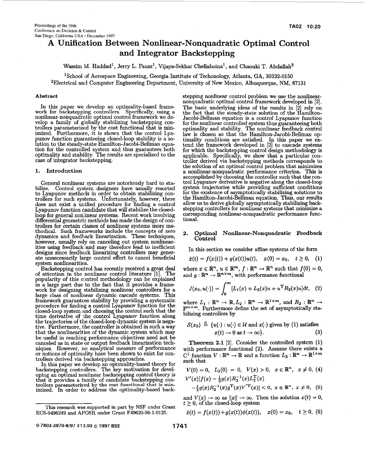## A Unification Between Nonlinear-Nonquadratic Optimal Control **and Integrator Backstepping**

Wassim M. Haddad<sup>1</sup>, Jerry L. Fausz<sup>1</sup>, Vijaya-Sekhar Chellaboina<sup>1</sup>, and Chaouki T. Abdallah<sup>2</sup>

'School of Aerospace Engineering, Georgia Institute of Techonology, Atlanta, GA, **30332-0150** 

2Electrical and Computer Engineering Department, University of New Mexico, Albuquerque, NM, **87131** 

#### **Abstract**

In this paper we develop an optimality-based frame-<br>work for backstepping controllers. Specifically, using a<br>nonlinear-nonquadratic optimal control framework we develop a family of globally stabilizing backstepping controllers parameterized by the cost functional that is minimized. Furthermore, it is shown that the control Lyapunov function guaranteeing closed-loop stability is a *so*lution to the steady-state Hamilton-Jacobi-Bellman equation for the controlled system and thus guarantees both optimality and stability. The results are specialized to the case of integrator backstepping.

#### **1. Introduction**

General nonlinear systems are notoriously hard to stabilize. Control system designers have usually resorted trollers for such systems. Unfortunately, however, there does not exist a unified procedure for finding a control Lyapunov function candidate that will stabilize the closedloop for general nonlinear systems. Recent work involving trollers for certain classes of nonlinear systems more me thodical. Such frameworks include the concepts of zero dynamics and feedhack linearization. These techniques, however, usually rely on canceling out system nonlinearities using feedback and may therefore lead to inefficient designs since feedback linearizing controllers may generate unnecessarily large control effort to cancel beneficial system nonlinearities. to Lyapunov methods in order to obtain stabilizing condifferential geometric methods has made the design of con-

Backstepping control has recently received a great deal of attention in the nonlinear control literature **[l].** The popularity **of** this control methodology can be explained in a large part due to the fact that it provides a framework for designing stabilizing nonlinear controllers for a large class of nonlinear dynamic cascade systems. This framework guarantees stability by providing a systematic procedure for finding a control Lyapunov function for the closed-loop system and choosing the control such that the time derivative of the control Lyapunov function along the trajectories of the closed-loop dynamic system is negative. Furthermore, the controller is obtained in such a way that the nonlinearities of the dynamic system which may be useful in reaching performance objectives need not be canceled **as** in state or output feedback linearization techniques. However, no analytical measure of performance or notions of optimidity have been shown to exist for controllers derived via backstepping approaches.

In this paper we develop **an** optimality-based theory for backstepping controllers. The key motivation for developing an optimal nonlinear backstepping control theory is that it provides a family of candidate backstepping conthat it provides a family of candidate backstepping controllers parameterized by the cost functional that is min-<br>
imized. In order to address the optimality-based back-<br>
This research was supported in part by NSF under Gr imized. In order to address the optimality-based backstepping nonlinear control problem we use the nonlinearnonquadratic optimal control framework developed in **[2].**  The basic underlying ideas of the results in [2] rely on the fact that the steady-state solution of the Hamilton-Jacobi-Bellman equation is a control Lyapunov function for the nonlinear controlled system thus guaranteeing both optimality and stability. The nonlinear feedback control law is chosen so that the Hamilton-Jacobi-Bellman optimality conditions are satisfied. In this paper we extend the framework developed in [2] to cascade systems for which the backstepping control design methodology is troller derived via backstepping methods corresponds to the solution of an optimal control problem that minimizes a nonlinear-nonquadratic performance criterion. This is accomplished by choosing the controller such that the control Lyapunov derivative is negative along the closed-loop system trajectories while providing sufficient conditions for the existence of asymptotically stabilizing solutions to the Hamilton-Jacobi-Bellman equation. Thus, our results allow us to derive globally asymptotically stabilizing backstepping controllers for nonlinear systems that minimize a corresponding nonlinear-nonquadratic performance functional. applicable. Specifically, we show that a particular con-

#### **2. Optimal Nonlinear-Nonquadratic Feedback Control**

In this section we consider affine systems of the form

$$
\dot{x}(t) = f(x(t)) + g(x(t))u(t), \quad x(0) = x_0, \quad t \ge 0, \quad (1)
$$

where  $x \in \mathbb{R}^n$ ,  $u \in \mathbb{R}^m$ ,  $f : \mathbb{R}^n \to \mathbb{R}^n$  such that  $f(0) = 0$ , and  $g: \mathbb{R}^n \to \mathbb{R}^{n \times m}$ , with performance functional

$$
J(x_0, u(\cdot)) = \int_0^\infty [L_1(x) + L_2(x)u + u^{\mathrm{T}} R_2(x)u] \mathrm{d}t, \quad (2)
$$

where  $L_1 : \mathbb{R}^n \to \mathbb{R}, L_2 : \mathbb{R}^n \to \mathbb{R}^{1 \times m}$ , and  $R_2 : \mathbb{R}^n \to$ **Pmxm.** Furthermore define the set of asymptotically sta-

bilizing controllers by  
\n
$$
\mathcal{S}(x_0) \triangleq \{u(\cdot) : u(\cdot) \in \mathcal{U} \text{ and } x(\cdot) \text{ given by (1) satisfies}
$$
\n
$$
x(t) \to 0 \text{ as } t \to \infty\}.
$$
\n(3)

**Theorem 2.1 [2].** Consider the controlled system **(1)**  with performance functional **(2).** Assume there exists a C<sup>1</sup> function  $V : \mathbb{R}^n \to \mathbb{R}$  and a function  $L_2 : \mathbb{R}^n \to \mathbb{R}^{1 \times m}$ such that

$$
V(0) = 0, L_2(0) = 0, V(x) > 0, x \in \mathbb{R}^n, x \neq 0, (4)
$$
  

$$
V'(x)[f(x) - \frac{1}{2}g(x)R_2^{-1}(x)L_2^{T}(x)
$$

$$
-\frac{1}{2}g(x)R_2^{-1}(x)g^{\mathrm{T}}(x)V^{'\mathrm{T}}(x)] < 0, \ x \in \mathbb{R}^n, \ x \neq 0, \quad (5)
$$

and  $V(x) \rightarrow \infty$  as  $||x|| \rightarrow \infty$ . Then the solution  $x(t) = 0$ ,  $t \geq 0$ , of the closed-loop system

$$
\dot{x}(t) = f(x(t)) + g(x(t))\phi(x(t)), \quad x(0) = x_0, \quad t \ge 0, \tag{6}
$$

This research **was** supported in part **by** NSF under Grant **ECS-9496249** and **AI'OSR** under Grant **F49620-96-1-0125.** 

*<sup>0-7803-3970-8197</sup>* **\$1** *0.00* Q **1997 IEEE 1741**